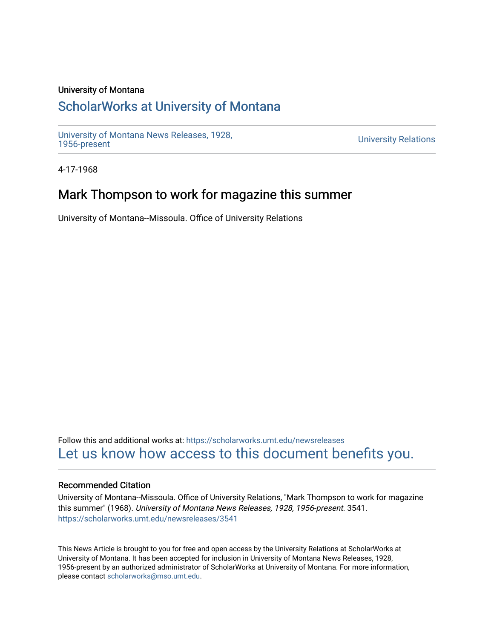#### University of Montana

## [ScholarWorks at University of Montana](https://scholarworks.umt.edu/)

[University of Montana News Releases, 1928,](https://scholarworks.umt.edu/newsreleases) 

**University Relations** 

4-17-1968

### Mark Thompson to work for magazine this summer

University of Montana--Missoula. Office of University Relations

Follow this and additional works at: [https://scholarworks.umt.edu/newsreleases](https://scholarworks.umt.edu/newsreleases?utm_source=scholarworks.umt.edu%2Fnewsreleases%2F3541&utm_medium=PDF&utm_campaign=PDFCoverPages) [Let us know how access to this document benefits you.](https://goo.gl/forms/s2rGfXOLzz71qgsB2) 

#### Recommended Citation

University of Montana--Missoula. Office of University Relations, "Mark Thompson to work for magazine this summer" (1968). University of Montana News Releases, 1928, 1956-present. 3541. [https://scholarworks.umt.edu/newsreleases/3541](https://scholarworks.umt.edu/newsreleases/3541?utm_source=scholarworks.umt.edu%2Fnewsreleases%2F3541&utm_medium=PDF&utm_campaign=PDFCoverPages) 

This News Article is brought to you for free and open access by the University Relations at ScholarWorks at University of Montana. It has been accepted for inclusion in University of Montana News Releases, 1928, 1956-present by an authorized administrator of ScholarWorks at University of Montana. For more information, please contact [scholarworks@mso.umt.edu.](mailto:scholarworks@mso.umt.edu)